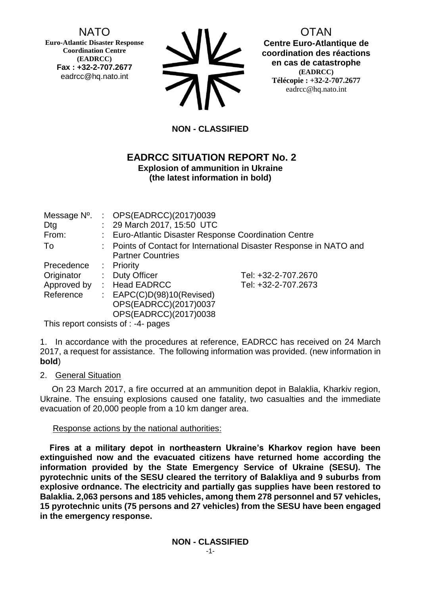# NATO

**Euro-Atlantic Disaster Response Coordination Centre (EADRCC) Fax : +32-2-707.2677** eadrcc@hq.nato.int



OTAN **Centre Euro-Atlantique de coordination des réactions en cas de catastrophe (EADRCC) Télécopie : +32-2-707.2677** eadrcc@hq.nato.int

# **NON - CLASSIFIED**

#### **EADRCC SITUATION REPORT No. 2 Explosion of ammunition in Ukraine (the latest information in bold)**

| Message N°.<br>Dtg<br>From: | : $OPS(EADRCC)(2017)0039$<br>: 29 March 2017, 15:50 UTC<br>Euro-Atlantic Disaster Response Coordination Centre |                                                                     |
|-----------------------------|----------------------------------------------------------------------------------------------------------------|---------------------------------------------------------------------|
| To                          | <b>Partner Countries</b>                                                                                       | : Points of Contact for International Disaster Response in NATO and |
| Precedence                  | : Priority                                                                                                     |                                                                     |
| Originator                  | : Duty Officer                                                                                                 | Tel: +32-2-707.2670                                                 |
| Approved by                 | <b>Head EADRCC</b>                                                                                             | Tel: +32-2-707.2673                                                 |
| Reference                   | : $EAPC(C)D(98)10(Revised)$                                                                                    |                                                                     |
|                             | OPS(EADRCC)(2017)0037                                                                                          |                                                                     |
|                             | OPS(EADRCC)(2017)0038                                                                                          |                                                                     |

This report consists of : -4- pages

1. In accordance with the procedures at reference, EADRCC has received on 24 March 2017, a request for assistance. The following information was provided. (new information in **bold**)

2. General Situation

 On 23 March 2017, a fire occurred at an ammunition depot in Balaklia, Kharkiv region, Ukraine. The ensuing explosions caused one fatality, two casualties and the immediate evacuation of 20,000 people from a 10 km danger area.

#### Response actions by the national authorities:

 **Fires at a military depot in northeastern Ukraine's Kharkov region have been extinguished now and the evacuated citizens have returned home according the information provided by the State Emergency Service of Ukraine (SESU). The pyrotechnic units of the SESU cleared the territory of Balakliya and 9 suburbs from explosive ordnance. The electricity and partially gas supplies have been restored to Balaklia. 2,063 persons and 185 vehicles, among them 278 personnel and 57 vehicles, 15 pyrotechnic units (75 persons and 27 vehicles) from the SESU have been engaged in the emergency response.**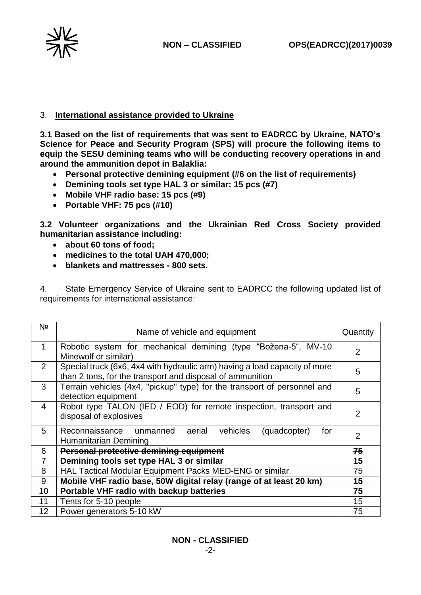

### 3. **International assistance provided to Ukraine**

**3.1 Based on the list of requirements that was sent to EADRCC by Ukraine, NATO's Science for Peace and Security Program (SPS) will procure the following items to equip the SESU demining teams who will be conducting recovery operations in and around the ammunition depot in Balaklia:**

- **Personal protective demining equipment (#6 on the list of requirements)**
- **Demining tools set type HAL 3 or similar: 15 pcs (#7)**
- **Mobile VHF radio base: 15 pcs (#9)**
- **Portable VHF: 75 pcs (#10)**

**3.2 Volunteer organizations and the Ukrainian Red Cross Society provided humanitarian assistance including:**

- **about 60 tons of food;**
- **medicines to the total UAH 470,000;**
- **blankets and mattresses - 800 sets.**

4. State Emergency Service of Ukraine sent to EADRCC the following updated list of requirements for international assistance:

| N <sub>2</sub> | Name of vehicle and equipment                                                                                                           |                |  |  |
|----------------|-----------------------------------------------------------------------------------------------------------------------------------------|----------------|--|--|
| 1              | Robotic system for mechanical demining (type "Božena-5", MV-10<br>Minewolf or similar)                                                  |                |  |  |
| 2              | Special truck (6x6, 4x4 with hydraulic arm) having a load capacity of more<br>than 2 tons, for the transport and disposal of ammunition |                |  |  |
| 3              | Terrain vehicles (4x4, "pickup" type) for the transport of personnel and<br>detection equipment                                         |                |  |  |
| 4              | Robot type TALON (IED / EOD) for remote inspection, transport and<br>disposal of explosives                                             |                |  |  |
| 5              | vehicles<br>Reconnaissance unmanned aerial<br>(quadcopter)<br>for<br>Humanitarian Demining                                              | $\overline{2}$ |  |  |
| 6              | Personal protective demining equipment                                                                                                  |                |  |  |
| 7              | Demining tools set type HAL 3 or similar                                                                                                |                |  |  |
| 8              | HAL Tactical Modular Equipment Packs MED-ENG or similar.                                                                                |                |  |  |
| 9              | Mobile VHF radio base, 50W digital relay (range of at least 20 km)                                                                      |                |  |  |
| 10             | Portable VHF radio with backup batteries                                                                                                |                |  |  |
| 11             | Tents for 5-10 people                                                                                                                   | 15             |  |  |
| 12             | Power generators 5-10 kW                                                                                                                |                |  |  |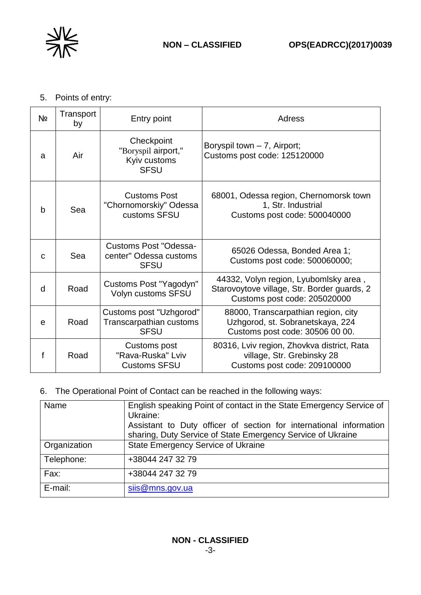

5. Points of entry:

| N <sub>o</sub> | Transport<br>by | Entry point                                                       | Adress                                                                                                               |
|----------------|-----------------|-------------------------------------------------------------------|----------------------------------------------------------------------------------------------------------------------|
| a              | Air             | Checkpoint<br>"Boryspil airport,"<br>Kyiv customs<br><b>SFSU</b>  | Boryspil town - 7, Airport;<br>Customs post code: 125120000                                                          |
| b              | Sea             | <b>Customs Post</b><br>"Chornomorskiy" Odessa<br>customs SFSU     | 68001, Odessa region, Chernomorsk town<br>1, Str. Industrial<br>Customs post code: 500040000                         |
| $\mathsf{C}$   | Sea             | Customs Post "Odessa-<br>center" Odessa customs<br><b>SFSU</b>    | 65026 Odessa, Bonded Area 1;<br>Customs post code: 500060000;                                                        |
| d              | Road            | Customs Post "Yagodyn"<br>Volyn customs SFSU                      | 44332, Volyn region, Lyubomlsky area,<br>Starovoytove village, Str. Border guards, 2<br>Customs post code: 205020000 |
| e              | Road            | Customs post "Uzhgorod"<br>Transcarpathian customs<br><b>SFSU</b> | 88000, Transcarpathian region, city<br>Uzhgorod, st. Sobranetskaya, 224<br>Customs post code: 30506 00 00.           |
|                | Road            | Customs post<br>"Rava-Ruska" Lviv<br><b>Customs SFSU</b>          | 80316, Lviv region, Zhovkva district, Rata<br>village, Str. Grebinsky 28<br>Customs post code: 209100000             |

6. The Operational Point of Contact can be reached in the following ways:

| Name         | English speaking Point of contact in the State Emergency Service of<br>Ukraine: |  |
|--------------|---------------------------------------------------------------------------------|--|
|              | Assistant to Duty officer of section for international information              |  |
|              | sharing, Duty Service of State Emergency Service of Ukraine                     |  |
| Organization | <b>State Emergency Service of Ukraine</b>                                       |  |
| Telephone:   | +38044 247 32 79                                                                |  |
| Fax:         | +38044 247 32 79                                                                |  |
| E-mail:      | siis@mns.gov.ua                                                                 |  |